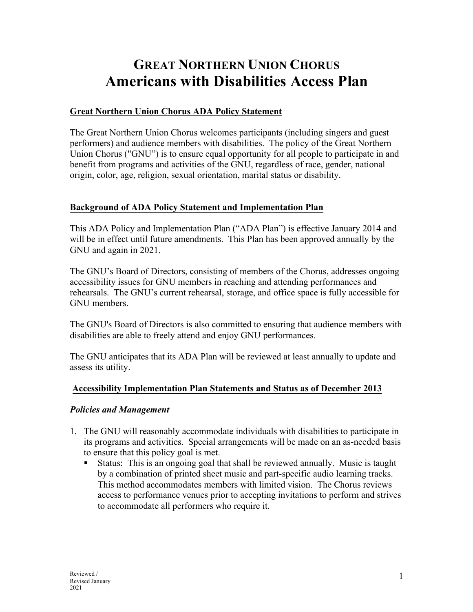# **GREAT NORTHERN UNION CHORUS Americans with Disabilities Access Plan**

## **Great Northern Union Chorus ADA Policy Statement**

The Great Northern Union Chorus welcomes participants (including singers and guest performers) and audience members with disabilities. The policy of the Great Northern Union Chorus ("GNU") is to ensure equal opportunity for all people to participate in and benefit from programs and activities of the GNU, regardless of race, gender, national origin, color, age, religion, sexual orientation, marital status or disability.

# **Background of ADA Policy Statement and Implementation Plan**

This ADA Policy and Implementation Plan ("ADA Plan") is effective January 2014 and will be in effect until future amendments. This Plan has been approved annually by the GNU and again in 2021.

The GNU's Board of Directors, consisting of members of the Chorus, addresses ongoing accessibility issues for GNU members in reaching and attending performances and rehearsals. The GNU's current rehearsal, storage, and office space is fully accessible for GNU members.

The GNU's Board of Directors is also committed to ensuring that audience members with disabilities are able to freely attend and enjoy GNU performances.

The GNU anticipates that its ADA Plan will be reviewed at least annually to update and assess its utility.

#### **Accessibility Implementation Plan Statements and Status as of December 2013**

#### *Policies and Management*

- 1. The GNU will reasonably accommodate individuals with disabilities to participate in its programs and activities. Special arrangements will be made on an as-needed basis to ensure that this policy goal is met.
	- Status: This is an ongoing goal that shall be reviewed annually. Music is taught by a combination of printed sheet music and part-specific audio learning tracks. This method accommodates members with limited vision. The Chorus reviews access to performance venues prior to accepting invitations to perform and strives to accommodate all performers who require it.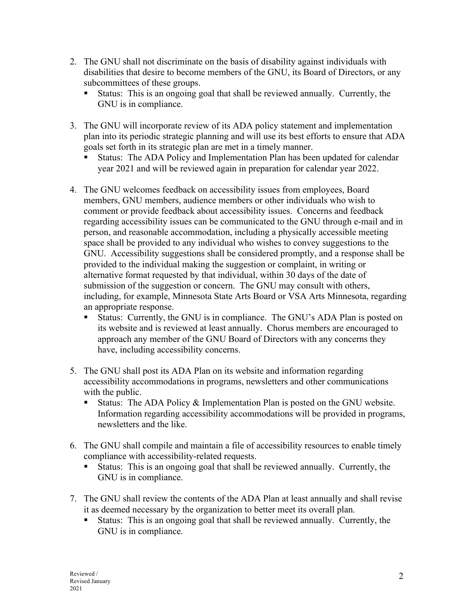- 2. The GNU shall not discriminate on the basis of disability against individuals with disabilities that desire to become members of the GNU, its Board of Directors, or any subcommittees of these groups.
	- Status: This is an ongoing goal that shall be reviewed annually. Currently, the GNU is in compliance.
- 3. The GNU will incorporate review of its ADA policy statement and implementation plan into its periodic strategic planning and will use its best efforts to ensure that ADA goals set forth in its strategic plan are met in a timely manner.
	- § Status: The ADA Policy and Implementation Plan has been updated for calendar year 2021 and will be reviewed again in preparation for calendar year 2022.
- 4. The GNU welcomes feedback on accessibility issues from employees, Board members, GNU members, audience members or other individuals who wish to comment or provide feedback about accessibility issues. Concerns and feedback regarding accessibility issues can be communicated to the GNU through e-mail and in person, and reasonable accommodation, including a physically accessible meeting space shall be provided to any individual who wishes to convey suggestions to the GNU. Accessibility suggestions shall be considered promptly, and a response shall be provided to the individual making the suggestion or complaint, in writing or alternative format requested by that individual, within 30 days of the date of submission of the suggestion or concern. The GNU may consult with others, including, for example, Minnesota State Arts Board or VSA Arts Minnesota, regarding an appropriate response.
	- § Status: Currently, the GNU is in compliance. The GNU's ADA Plan is posted on its website and is reviewed at least annually. Chorus members are encouraged to approach any member of the GNU Board of Directors with any concerns they have, including accessibility concerns.
- 5. The GNU shall post its ADA Plan on its website and information regarding accessibility accommodations in programs, newsletters and other communications with the public.
	- Status: The ADA Policy & Implementation Plan is posted on the GNU website. Information regarding accessibility accommodations will be provided in programs, newsletters and the like.
- 6. The GNU shall compile and maintain a file of accessibility resources to enable timely compliance with accessibility-related requests.
	- Status: This is an ongoing goal that shall be reviewed annually. Currently, the GNU is in compliance.
- 7. The GNU shall review the contents of the ADA Plan at least annually and shall revise it as deemed necessary by the organization to better meet its overall plan.
	- Status: This is an ongoing goal that shall be reviewed annually. Currently, the GNU is in compliance.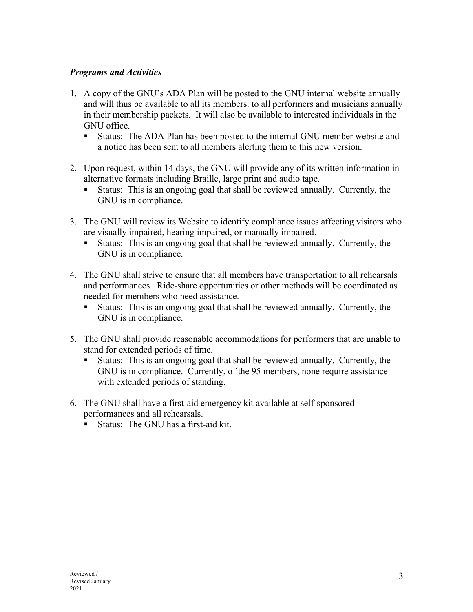## *Programs and Activities*

- 1. A copy of the GNU's ADA Plan will be posted to the GNU internal website annually and will thus be available to all its members. to all performers and musicians annually in their membership packets. It will also be available to interested individuals in the GNU office.
	- Status: The ADA Plan has been posted to the internal GNU member website and a notice has been sent to all members alerting them to this new version.
- 2. Upon request, within 14 days, the GNU will provide any of its written information in alternative formats including Braille, large print and audio tape.
	- Status: This is an ongoing goal that shall be reviewed annually. Currently, the GNU is in compliance.
- 3. The GNU will review its Website to identify compliance issues affecting visitors who are visually impaired, hearing impaired, or manually impaired.
	- Status: This is an ongoing goal that shall be reviewed annually. Currently, the GNU is in compliance.
- 4. The GNU shall strive to ensure that all members have transportation to all rehearsals and performances. Ride-share opportunities or other methods will be coordinated as needed for members who need assistance.
	- Status: This is an ongoing goal that shall be reviewed annually. Currently, the GNU is in compliance.
- 5. The GNU shall provide reasonable accommodations for performers that are unable to stand for extended periods of time.
	- Status: This is an ongoing goal that shall be reviewed annually. Currently, the GNU is in compliance. Currently, of the 95 members, none require assistance with extended periods of standing.
- 6. The GNU shall have a first-aid emergency kit available at self-sponsored performances and all rehearsals.
	- Status: The GNU has a first-aid kit.